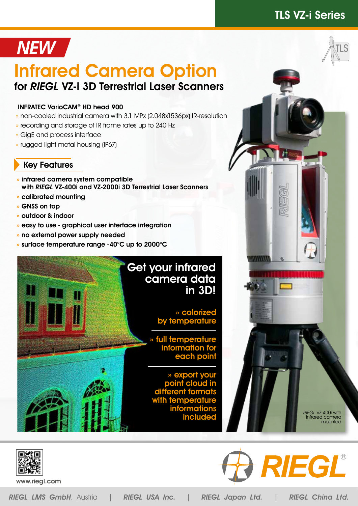### TLS VZ-i Series

# NEW /

## Infrared Camera Option for RIEGL VZ-i 3D Terrestrial Laser Scanners

#### INFRATEC VarioCAM® HD head 900

- » non-cooled industrial camera with 3.1 MPx (2.048x1536px) IR-resolution
- » recording and storage of IR frame rates up to 240 Hz
- » GigE and process interface
- » rugged light metal housing (IP67)

### Key Features

- » infrared camera system compatible with RIEGL VZ-400i and VZ-2000i 3D Terrestrial Laser Scanners
- » calibrated mounting
- » GNSS on top
- » outdoor & indoor
- » easy to use graphical user interface integration
- » no external power supply needed
- » surface temperature range -40°C up to 2000°C

### Get your infrared camera data in 3D!

» colorized by temperature

full temperature information for each poil

» export your point cloud in different form  $\prime$ ith te informations include



www.riegl.com

RIEGL LMS GmbH, Austria | RIEGL USA Inc. | RIEGL Japan Ltd. | RIEGL China Ltd.

mmu

RIEGL®

RIEGL VZ-400i with infrared camera mounted